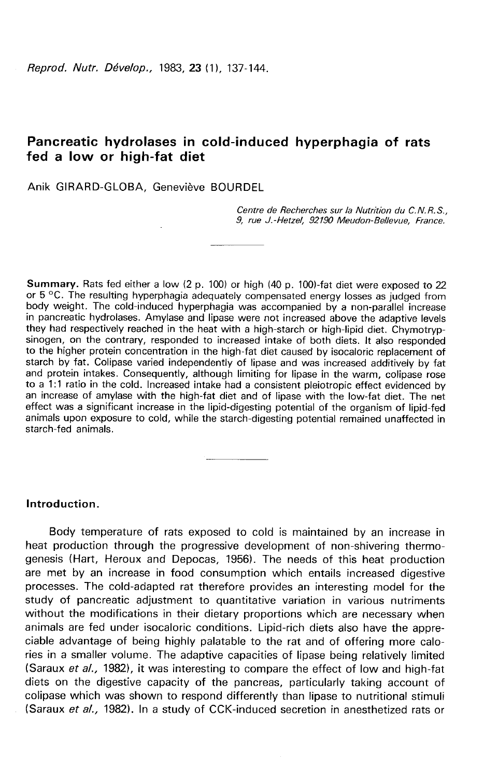# Pancreatic hydrolases in cold-induced hyperphagia of rats fed a low or high-fat diet

Anik GIRARD-GLOBA, Geneviève BOURDEL

Centre de Recherches sur la Nutrition du C.N.R.S. 9, rue J.-Hetzel, 92190 Meudon-Bellevue, France.

Summary. Rats fed either a low (2 p. 100) or high (40 p. 100)-fat diet were exposed to 22 or 5 °C. The resulting hyperphagia adequately compensated energy losses as judged from body weight. The cold-induced hyperphagia was accompanied by a non-parallel increase in pancreatic hydrolases. Amylase and lipase were not increased above the adaptive levels sinogen, on the contrary, responded to increased intake of both diets. It also responded to the higher protein concentration in the high-fat diet caused by isocaloric replacement of starch by fat. Colipase varied independently of lipase and was increased additively by fat and protein intakes. Consequently, although limiting for lipase in the warm, colipase rose to a 1:1 ratio in the cold. Increased intake had a consistent pleiotropic effect evidenced by an increase of amylase with the high-fat diet and of lipase with the low-fat diet. The net effect was a significant increase in the lipid-digesting potential of the organism of lipid-fed animals upon exposure to cold, while the starch-digesting potential remained unaffected in starch-fed animals.

# Introduction.

Body temperature of rats exposed to cold is maintained by an increase in heat production through the progressive development of non-shivering thermogenesis (Hart, Heroux and Depocas, 1956). The needs of this heat production are met by an increase in food consumption which entails increased digestive processes. The cold-adapted rat therefore provides an interesting model for the study of pancreatic adjustment to quantitative variation in various nutriments without the modifications in their dietary proportions which are necessary when animals are fed under isocaloric conditions. Lipid-rich diets also have the appreciable advantage of being highly palatable to the rat and of offering more calories in a smaller volume. The adaptive capacities of lipase being relatively limited (Saraux et al., 1982), it was interesting to compare the effect of low and high-fat diets on the digestive capacity of the pancreas, particularly taking account of colipase which was shown to respond differently than lipase to nutritional stimuli (Saraux et al., 1982). In a study of CCK-induced secretion in anesthetized rats or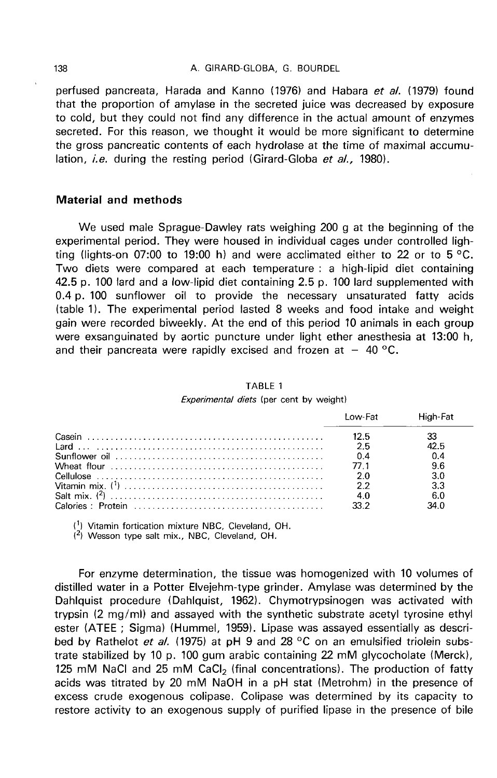#### 138 A. GIRARD-GLOBA. G. BOURDEL

perfused pancreata, Harada and Kanno (1976) and Habara et al. (1979) found that the proportion of amylase in the secreted juice was decreased by exposure to cold, but they could not find any difference in the actual amount of enzymes secreted. For this reason, we thought it would be more significant to determine the gross pancreatic contents of each hydrolase at the time of maximal accumulation, *i.e.* during the resting period (Girard-Globa et  $al.$ , 1980).

# Material and methods

We used male Sprague-Dawley rats weighing 200 g at the beginning of the experimental period. They were housed in individual cages under controlled lighting (lights-on 07:00 to 19:00 h) and were acclimated either to 22 or to 5 °C. Two diets were compared at each temperature : a high-lipid diet containing 42.5 p. 100 lard and a low-lipid diet containing 2.5 p. 100 lard supplemented with 0.4 p. 100 sunflower oil to provide the necessary unsaturated fatty acids (table 1). The experimental period lasted 8 weeks and food intake and weight gain were recorded biweekly. At the end of this period 10 animals in each group were exsanguinated by aortic puncture under light ether anesthesia at 13:00 h, and their pancreata were rapidly excised and frozen at  $-40$  °C.

| - 12.5 |      |
|--------|------|
|        | 42.5 |
| 04     |      |
| 77 1   | 96   |
|        | 3.0  |
| - 22   | 33   |
| 4.0    | 6.0  |
| つつ つ   | 34 O |

# TABLE 1

## Experimental diets (per cent by weight)

(1) Vitamin fortication mixture NBC, Cleveland, OH.

(2) Wesson type salt mix., NBC, Cleveland, OH.

For enzyme determination, the tissue was homogenized with 10 volumes of distilled water in a Potter Elvejehm-type grinder. Amylase was determined by the Dahlquist procedure (Dahlquist, 1962). Chymotrypsinogen was activated with trypsin (2 mg/ml) and assayed with the synthetic substrate acetyl tyrosine ethyl ester (ATEE ; Sigma) (Hummel, 1959). Lipase was assayed essentially as described by Rathelot et al. (1975) at pH 9 and 28  $^{\circ}$ C on an emulsified triolein substrate stabilized by 10 p. 100 gum arabic containing 22 mM glycocholate (Merck), 125 mM NaCI and 25 mM CaCI<sub>2</sub> (final concentrations). The production of fatty acids was titrated by 20 mM NaOH in a pH stat (Metrohm) in the presence of excess crude exogenous colipase. Colipase was determined by its capacity to restore activity to an exogenous supply of purified lipase in the presence of bile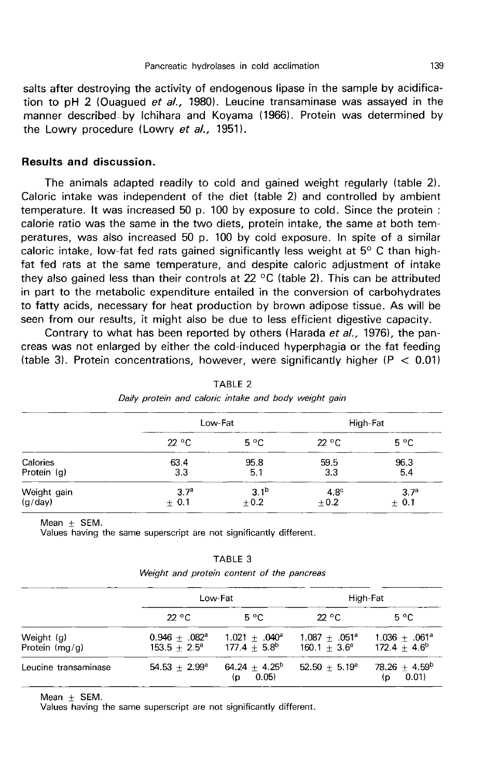salts after destroying the activity of endogenous lipase in the sample by acidification to pH 2 (Ouagued et al., 1980). Leucine transaminase was assayed in the manner described by lchihara and Koyama (1966). Protein was determined by the Lowry procedure (Lowry et al., 1951).

## Results and discussion.

The animals adapted readily to cold and gained weight regularly (table 2). Caloric intake was independent of the diet (table 2) and controlled by ambient temperature. It was increased 50 p. 100 by exposure to cold. Since the protein : calorie ratio was the same in the two diets, protein intake, the same at both temperatures, was also increased 50 p. 100 by cold exposure. In spite of a similar caloric intake, low-fat fed rats gained significantly less weight at  $5^{\circ}$  C than highfat fed rats at the same temperature, and despite caloric adjustment of intake they also gained less than their controls at 22  $\,^{\circ}$ C (table 2). This can be attributed in part to the metabolic expenditure entailed in the conversion of carbohydrates to fatty acids, necessary for heat production by brown adipose tissue. As will be seen from our results, it might also be due to less efficient digestive capacity.

Contrary to what has been reported by others (Harada et al., 1976), the pancreas was not enlarged by either the cold-induced hyperphagia or the fat feeding (table 3). Protein concentrations, however, were significantly higher ( $P < 0.01$ )

|             | Low-Fat          |               | High-Fat         |                  |
|-------------|------------------|---------------|------------------|------------------|
|             | $22^{\circ}$ C   | $5^{\circ}$ C | $22^{\circ}$ C   | $5^{\circ}$ C    |
| Calories    | 63.4             | 95.8          | 59.5             | 96.3             |
| Protein (g) | 3.3              | 5.1           | 3.3              | 5.4              |
| Weight gain | 3.7 <sup>a</sup> | $3.1^{b}$     | 4.8 <sup>c</sup> | 3.7 <sup>a</sup> |
| (g/day)     | $\pm$ 0.1        | $+0.2$        | $\pm$ 0.2        | $+0.1$           |

TABLE<sub>2</sub> Daily protein and caloric intake and body weight gain

Mean  $+$  SEM.

Values having the same superscript are not significantly different.

| TABLE |  |
|-------|--|
|-------|--|

Weight and protein content of the pancreas

|                                | Low-Fat                                        |                                              | High-Fat                            |                                             |
|--------------------------------|------------------------------------------------|----------------------------------------------|-------------------------------------|---------------------------------------------|
|                                | -22 °C                                         | $5^{\circ}$ C                                | 22 °C                               | 5 °C                                        |
| Weight (g)<br>Protein $(mq/q)$ | $0.946 + .082$ <sup>a</sup><br>$153.5 + 2.5^a$ | $1.021 + .040^a$<br>$177.4 + 5.8^b$          | $1.087 + .051^a$<br>$160.1 + 3.6^a$ | $1.036 \pm .061^{\circ}$<br>$172.4 + 4.6^b$ |
| Leucine transaminase           | $54.53 + 2.99^a$                               | 64.24 $\pm$ 4.25 <sup>b</sup><br>0.05)<br>(p | $52.50 + 5.19^a$                    | $78.26 + 4.59^b$<br>0.01)<br>(p             |

### Mean  $+$  SEM.

Values having the same superscript are not significantly different.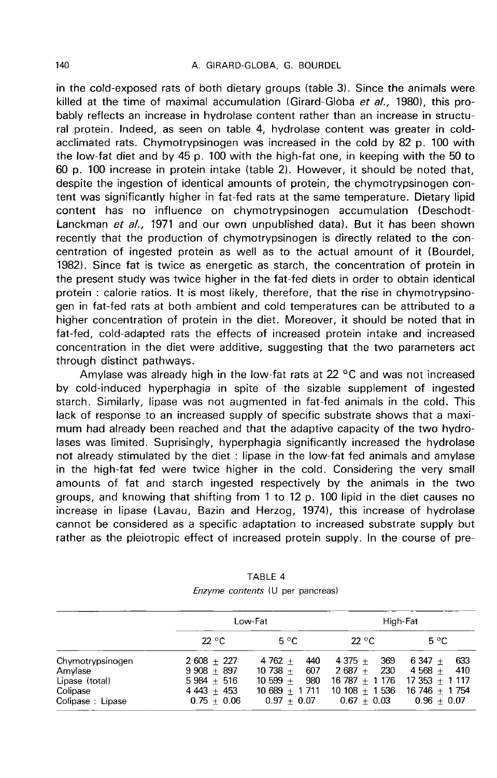in the cold-exposed rats of both dietary groups (table 3). Since the animals were killed at the time of maximal accumulation (Girard-Globa et  $al.$ , 1980), this probably reflects an increase in hydrolase content rather than an increase in structural protein. Indeed, as seen on table 4, hydrolase content was greater in coldacclimated rats. Chymotrypsinogen was increased in the cold by 82 p. 100 with the low-fat diet and by 45 p. 100 with the high-fat one, in keeping with the 50 to 60 p. 100 increase in protein intake (table 2). However, it should be noted that, despite the ingestion of identical amounts of protein, the chymotrypsinogen content was significantly higher in fat-fed rats at the same temperature. Dietary lipid content has no influence on chymotrypsinogen accumulation (Deschodt-Lanckman et al., 1971 and our own unpublished data). But it has been shown recently that the production of chymotrypsinogen is directly related to the concentration of ingested protein as well as to the actual amount of it (Bourdel, 1982). Since fat is twice as energetic as starch, the concentration of protein in the present study was twice higher in the fat-fed diets in order to obtain identical protein : calorie ratios. It is most likely, therefore, that the rise in chymotrypsinogen in fat-fed rats at both ambient and cold temperatures can be attributed to a higher concentration of protein in the diet. Moreover, it should be noted that in fat-fed, cold-adapted rats the effects of increased protein intake and increased concentration in the diet were additive, suggesting that the two parameters act through distinct pathways.

Amylase was already high in the low-fat rats at 22 °C and was not increased by cold-induced hyperphagia in spite of the sizable supplement of ingested starch. Similarly, lipase was not augmented in fat-fed animals in the cold. This lack of response to an increased supply of specific substrate shows that a maximum had already been reached and that the adaptive capacity of the two hydrolases was limited. Suprisingly, hyperphagia significantly increased the hydrolase not already stimulated by the diet : lipase in the low-fat fed animals and amylase in the high-fat fed were twice higher in the cold. Considering the very small amounts of fat and starch ingested respectively by the animals in the two groups, and knowing that shifting from 1 to 12 p. 100 lipid in the diet causes no increase in lipase (Lavau, Bazin and Herzog, 1974), this increase of hydrolase cannot be considered as a specific adaptation to increased substrate supply but rather as the pleiotropic effect of increased protein supply. In the course of pre-

|                             | Low-Fat                        |                                     | High-Fat                           |                      |
|-----------------------------|--------------------------------|-------------------------------------|------------------------------------|----------------------|
|                             | $22^{\circ}$ C.                | $5^{\circ}$ C                       | $22^{\circ}$ C.                    | 5 °C                 |
| Chymotrypsinogen<br>Amylase | $2608 + 227$<br>$9\,908 + 897$ | $4762 +$<br>440<br>607<br>$10738 +$ | 369<br>$4375 +$<br>230<br>$2687 +$ | $6347 +$<br>$4568 +$ |
| Lipase (total)              | $5984 + 516$                   | 980<br>$10599 +$                    | $16\,787 + 1\,176$                 | $17353 + 1$          |
| Colipase                    | $4443 + 453$                   | $10689 + 1711$                      | $10108 + 1536$                     | $16746 + 1$          |
| Colipase: Lipase            | $0.75 + 0.06$                  | $0.97 + 0.07$                       | $0.67 + 0.03$                      | $0.96 + 0.$          |

TABLE 4 Enzyme contents (U per pancreas)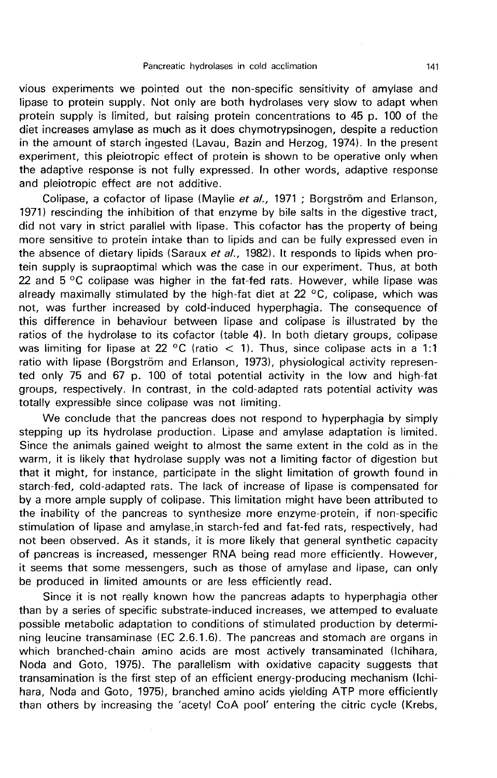vious experiments we pointed out the non-specific sensitivity of amylase and lipase to protein supply. Not only are both hydrolases very slow to adapt when protein supply is limited, but raising protein concentrations to 45 p. 100 of the diet increases amylase as much as it does chymotrypsinogen, despite a reduction in the amount of starch ingested (Lavau, Bazin and Herzog, 1974). In the present experiment, this pleiotropic effect of protein is shown to be operative only when the adaptive response is not fully expressed. In other words, adaptive response and pleiotropic effect are not additive.

Colipase, a cofactor of lipase (Maylie et al., 1971; Borgström and Erlanson, 1971) rescinding the inhibition of that enzyme by bile salts in the digestive tract, did not vary in strict parallel with lipase. This cofactor has the property of being more sensitive to protein intake than to lipids and can be fully expressed even in the absence of dietary lipids (Saraux et al., 1982). It responds to lipids when protein supply is supraoptimal which was the case in our experiment. Thus, at both 22 and  $5^{\circ}$ C colipase was higher in the fat-fed rats. However, while lipase was already maximally stimulated by the high-fat diet at  $22 \degree C$ , colipase, which was not, was further increased by cold-induced hyperphagia. The consequence of this difference in behaviour between lipase and colipase is illustrated by the ratios of the hydrolase to its cofactor (table 4). In both dietary groups, colipase was limiting for lipase at 22 °C (ratio  $<$  1). Thus, since colipase acts in a 1:1 ratio with lipase (Borgström and Erlanson, 1973), physiological activity represented only 75 and 67 p. 100 of total potential activity in the low and high-fat groups, respectively. In contrast, in the cold-adapted rats potential activity was totally expressible since colipase was not limiting.

We conclude that the pancreas does not respond to hyperphagia by simply stepping up its hydrolase production. Lipase and amylase adaptation is limited. Since the animals gained weight to almost the same extent in the cold as in the warm, it is likely that hydrolase supply was not a limiting factor of digestion but that it might, for instance, participate in the slight limitation of growth found in starch-fed, cold-adapted rats. The lack of increase of lipase is compensated for by a more ample supply of colipase. This limitation might have been attributed to the inability of the pancreas to synthesize more enzyme-protein, if non-specific stimulation of lipase and amylase\_in starch-fed and fat-fed rats, respectively, had not been observed. As it stands, it is more likely that general synthetic capacity of pancreas is increased, messenger RNA being read more efficiently. However, it seems that some messengers, such as those of amylase and lipase, can only be produced in limited amounts or are less efficiently read.

Since it is not really known how the pancreas adapts to hyperphagia other than by a series of specific substrate-induced increases, we attemped to evaluate possible metabolic adaptation to conditions of stimulated production by determining leucine transaminase (EC 2.6.1.6). The pancreas and stomach are organs in which branched-chain amino acids are most actively transaminated (lchihara, Noda and Goto, 1975). The parallelism with oxidative capacity suggests that transamination is the first step of an efficient energy-producing mechanism (lchihara, Noda and Goto, 1975), branched amino acids yielding ATP more efficiently than others by increasing the 'acetyl CoA pool' entering the citric cycle (Krebs,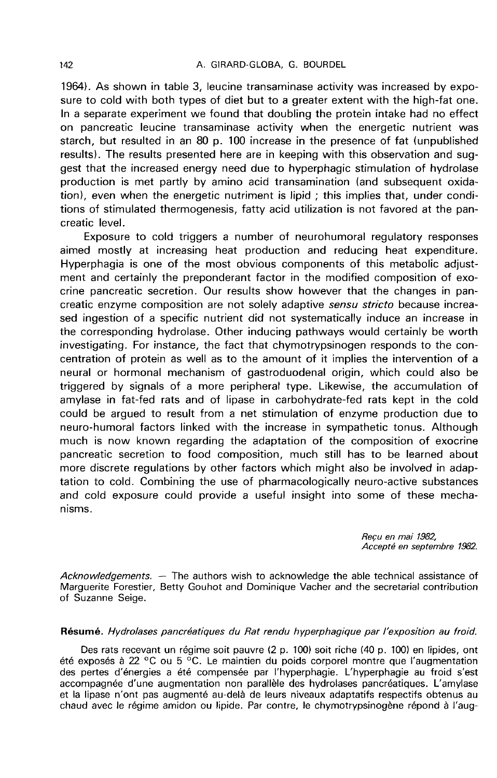1964). As shown in table 3, leucine transaminase activity was increased by expo sure to cold with both types of diet but to a greater extent with the high-fat one. In a separate experiment we found that doubling the protein intake had no effect on pancreatic leucine transaminase activity when the energetic nutrient was starch, but resulted in an 80 p. 100 increase in the presence of fat (unpublished results). The results presented here are in keeping with this observation and suggest that the increased energy need due to hyperphagic stimulation of hydrolase production is met partly by amino acid transamination (and subsequent oxidation), even when the energetic nutriment is lipid ; this implies that, under conditions of stimulated thermogenesis, fatty acid utilization is not favored at the pancreatic level.

Exposure to cold triggers a number of neurohumoral regulatory responses aimed mostly at increasing heat production and reducing heat expenditure. Hyperphagia is one of the most obvious components of this metabolic adjust ment and certainly the preponderant factor in the modified composition of exocrine pancreatic secretion. Our results show however that the changes in pancreatic enzyme composition are not solely adaptive sensu stricto because increased ingestion of a specific nutrient did not systematically induce an increase in the corresponding hydrolase. Other inducing pathways would certainly be worth investigating. For instance, the fact that chymotrypsinogen responds to the concentration of protein as well as to the amount of it implies the intervention of a neural or hormonal mechanism of gastroduodenal origin, which could also be triggered by signals of a more peripheral type. Likewise, the accumulation of amylase in fat-fed rats and of lipase in carbohydrate-fed rats kept in the cold could be argued to result from a net stimulation of enzyme production due to neuro-humoral factors linked with the increase in sympathetic tonus. Although much is now known regarding the adaptation of the composition of exocrine pancreatic secretion to food composition, much still has to be learned about more discrete regulations by other factors which might also be involved in adaptation to cold. Combining the use of pharmacologically neuro-active substances and cold exposure could provide a useful insight into some of these mechanisms.

> Recu en mai 1982, Accepté en septembre 1982.

Acknowledgements. — The authors wish to acknowledge the able technical assistance of Marguerite Forestier, Betty Gouhot and Dominique Vacher and the secretarial contribution of Suzanne Seige.

# Résumé. Hydrolases pancréatiques du Rat rendu hyperphagique par l'exposition au froid.

Des rats recevant un régime soit pauvre (2 p. 100) soit riche (40 p. 100) en lipides, ont été exposés à 22 °C ou 5 °C. Le maintien du poids corporel montre que l'augmentation des pertes d'énergies a été compensée par l'hyperphagie. L'hyperphagie au froid s'est accompagnée d'une augmentation non parallèle des hydrolases pancréatiques. L'amylase et la lipase n'ont pas augmenté au-delà de leurs niveaux adaptatifs respectifs obtenus au chaud avec le régime amidon ou lipide. Par contre, le chymotrypsinogène répond à l'aug